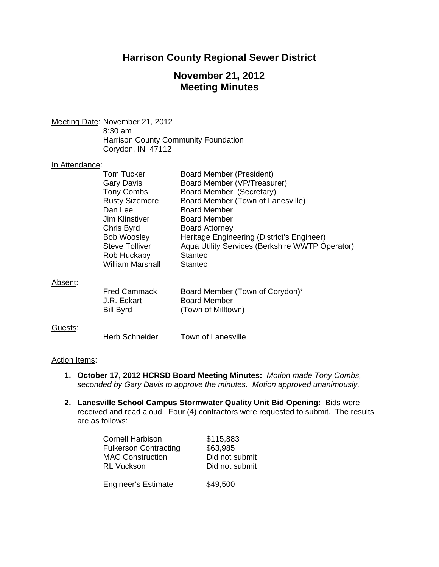## **Harrison County Regional Sewer District**

# **November 21, 2012 Meeting Minutes**

Meeting Date: November 21, 2012 8:30 am

 Harrison County Community Foundation Corydon, IN 47112

#### In Attendance:

|         | <b>Tom Tucker</b><br>Gary Davis<br><b>Tony Combs</b><br><b>Rusty Sizemore</b><br>Dan Lee<br>Jim Klinstiver<br>Chris Byrd<br><b>Bob Woosley</b> | Board Member (President)<br>Board Member (VP/Treasurer)<br>Board Member (Secretary)<br>Board Member (Town of Lanesville)<br><b>Board Member</b><br><b>Board Member</b><br><b>Board Attorney</b><br>Heritage Engineering (District's Engineer) |
|---------|------------------------------------------------------------------------------------------------------------------------------------------------|-----------------------------------------------------------------------------------------------------------------------------------------------------------------------------------------------------------------------------------------------|
|         | <b>Steve Tolliver</b><br>Rob Huckaby<br><b>William Marshall</b>                                                                                | Aqua Utility Services (Berkshire WWTP Operator)<br><b>Stantec</b><br><b>Stantec</b>                                                                                                                                                           |
| Absent: | <b>Fred Cammack</b>                                                                                                                            | Board Member (Town of Corvdon)*                                                                                                                                                                                                               |

#### Absent:

| <b>Fred Cammack</b> | Board Member (Town of Corydon)* |
|---------------------|---------------------------------|
| J.R. Eckart         | <b>Board Member</b>             |
| Bill Byrd           | (Town of Milltown)              |

### Guests:

Herb Schneider Town of Lanesville

### Action Items:

- **1. October 17, 2012 HCRSD Board Meeting Minutes:** *Motion made Tony Combs, seconded by Gary Davis to approve the minutes. Motion approved unanimously.*
- **2. Lanesville School Campus Stormwater Quality Unit Bid Opening:** Bids were received and read aloud. Four (4) contractors were requested to submit. The results are as follows:

| <b>Cornell Harbison</b>      | \$115,883      |
|------------------------------|----------------|
| <b>Fulkerson Contracting</b> | \$63,985       |
| <b>MAC Construction</b>      | Did not submit |
| <b>RL Vuckson</b>            | Did not submit |
|                              |                |
| <b>Engineer's Estimate</b>   | \$49,500       |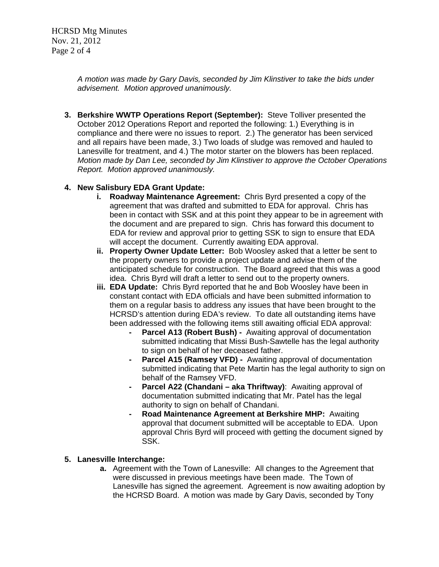HCRSD Mtg Minutes Nov. 21, 2012 Page 2 of 4

> *A motion was made by Gary Davis, seconded by Jim Klinstiver to take the bids under advisement. Motion approved unanimously.*

**3. Berkshire WWTP Operations Report (September):** Steve Tolliver presented the October 2012 Operations Report and reported the following: 1.) Everything is in compliance and there were no issues to report. 2.) The generator has been serviced and all repairs have been made, 3.) Two loads of sludge was removed and hauled to Lanesville for treatment, and 4.) The motor starter on the blowers has been replaced. *Motion made by Dan Lee, seconded by Jim Klinstiver to approve the October Operations Report. Motion approved unanimously.* 

## **4. New Salisbury EDA Grant Update:**

- **i. Roadway Maintenance Agreement:** Chris Byrd presented a copy of the agreement that was drafted and submitted to EDA for approval. Chris has been in contact with SSK and at this point they appear to be in agreement with the document and are prepared to sign. Chris has forward this document to EDA for review and approval prior to getting SSK to sign to ensure that EDA will accept the document. Currently awaiting EDA approval.
- **ii. Property Owner Update Letter:** Bob Woosley asked that a letter be sent to the property owners to provide a project update and advise them of the anticipated schedule for construction. The Board agreed that this was a good idea. Chris Byrd will draft a letter to send out to the property owners.
- **iii. EDA Update:** Chris Byrd reported that he and Bob Woosley have been in constant contact with EDA officials and have been submitted information to them on a regular basis to address any issues that have been brought to the HCRSD's attention during EDA's review. To date all outstanding items have been addressed with the following items still awaiting official EDA approval:
	- **Parcel A13 (Robert Bush) -** Awaiting approval of documentation submitted indicating that Missi Bush-Sawtelle has the legal authority to sign on behalf of her deceased father.
	- **Parcel A15 (Ramsey VFD) -** Awaiting approval of documentation submitted indicating that Pete Martin has the legal authority to sign on behalf of the Ramsey VFD.
	- **Parcel A22 (Chandani aka Thriftway)**: Awaiting approval of documentation submitted indicating that Mr. Patel has the legal authority to sign on behalf of Chandani.
	- **Road Maintenance Agreement at Berkshire MHP:** Awaiting approval that document submitted will be acceptable to EDA. Upon approval Chris Byrd will proceed with getting the document signed by SSK.

### **5. Lanesville Interchange:**

**a.** Agreement with the Town of Lanesville: All changes to the Agreement that were discussed in previous meetings have been made. The Town of Lanesville has signed the agreement. Agreement is now awaiting adoption by the HCRSD Board. A motion was made by Gary Davis, seconded by Tony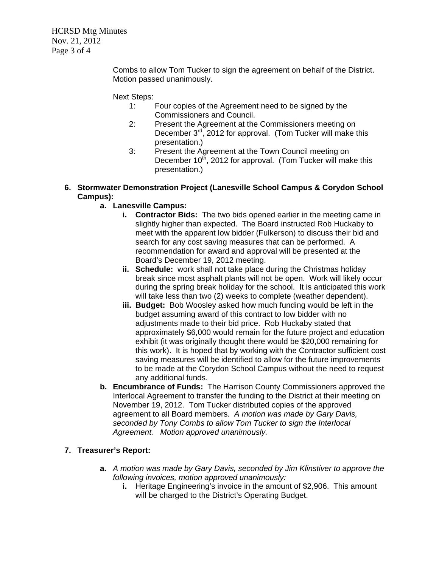HCRSD Mtg Minutes Nov. 21, 2012 Page 3 of 4

> Combs to allow Tom Tucker to sign the agreement on behalf of the District. Motion passed unanimously.

Next Steps:

- 1: Four copies of the Agreement need to be signed by the Commissioners and Council.
- 2: Present the Agreement at the Commissioners meeting on December  $3^{rd}$ , 2012 for approval. (Tom Tucker will make this presentation.)
- 3: Present the Agreement at the Town Council meeting on December  $10^{th}$ , 2012 for approval. (Tom Tucker will make this presentation.)
- **6. Stormwater Demonstration Project (Lanesville School Campus & Corydon School Campus):** 
	- **a. Lanesville Campus:** 
		- **i.** Contractor Bids: The two bids opened earlier in the meeting came in slightly higher than expected. The Board instructed Rob Huckaby to meet with the apparent low bidder (Fulkerson) to discuss their bid and search for any cost saving measures that can be performed. A recommendation for award and approval will be presented at the Board's December 19, 2012 meeting.
		- **ii. Schedule:** work shall not take place during the Christmas holiday break since most asphalt plants will not be open. Work will likely occur during the spring break holiday for the school. It is anticipated this work will take less than two (2) weeks to complete (weather dependent).
		- **iii. Budget:** Bob Woosley asked how much funding would be left in the budget assuming award of this contract to low bidder with no adjustments made to their bid price. Rob Huckaby stated that approximately \$6,000 would remain for the future project and education exhibit (it was originally thought there would be \$20,000 remaining for this work). It is hoped that by working with the Contractor sufficient cost saving measures will be identified to allow for the future improvements to be made at the Corydon School Campus without the need to request any additional funds.
	- **b. Encumbrance of Funds:**The Harrison County Commissioners approved the Interlocal Agreement to transfer the funding to the District at their meeting on November 19, 2012. Tom Tucker distributed copies of the approved agreement to all Board members. *A motion was made by Gary Davis, seconded by Tony Combs to allow Tom Tucker to sign the Interlocal Agreement. Motion approved unanimously.*

## **7. Treasurer's Report:**

- **a.** *A motion was made by Gary Davis, seconded by Jim Klinstiver to approve the following invoices, motion approved unanimously:* 
	- **i.** Heritage Engineering's invoice in the amount of \$2,906. This amount will be charged to the District's Operating Budget.